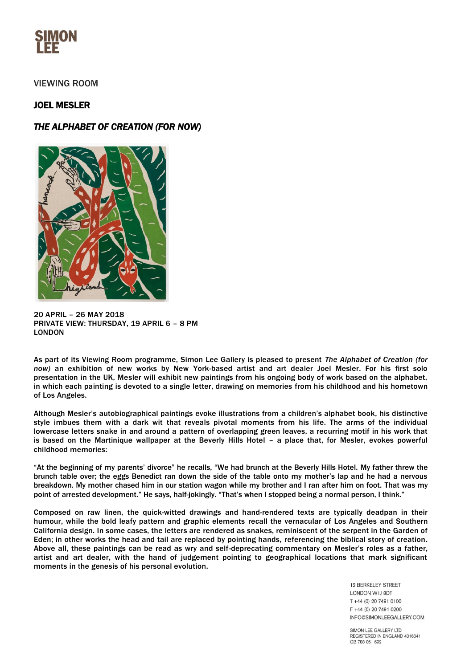

## VIEWING ROOM

## JOEL MESLER

# *THE ALPHABET OF CREATION (FOR NOW)*



20 APRIL – 26 MAY 2018 PRIVATE VIEW: THURSDAY, 19 APRIL 6 – 8 PM LONDON

As part of its Viewing Room programme, Simon Lee Gallery is pleased to present *The Alphabet of Creation (for now)* an exhibition of new works by New York-based artist and art dealer Joel Mesler. For his first solo presentation in the UK, Mesler will exhibit new paintings from his ongoing body of work based on the alphabet, in which each painting is devoted to a single letter, drawing on memories from his childhood and his hometown of Los Angeles.

Although Mesler's autobiographical paintings evoke illustrations from a children's alphabet book, his distinctive style imbues them with a dark wit that reveals pivotal moments from his life. The arms of the individual lowercase letters snake in and around a pattern of overlapping green leaves, a recurring motif in his work that is based on the Martinique wallpaper at the Beverly Hills Hotel – a place that, for Mesler, evokes powerful childhood memories:

"At the beginning of my parents' divorce" he recalls, "We had brunch at the Beverly Hills Hotel. My father threw the brunch table over; the eggs Benedict ran down the side of the table onto my mother's lap and he had a nervous breakdown. My mother chased him in our station wagon while my brother and I ran after him on foot. That was my point of arrested development." He says, half-jokingly. "That's when I stopped being a normal person, I think."

Composed on raw linen, the quick-witted drawings and hand-rendered texts are typically deadpan in their humour, while the bold leafy pattern and graphic elements recall the vernacular of Los Angeles and Southern California design. In some cases, the letters are rendered as snakes, reminiscent of the serpent in the Garden of Eden; in other works the head and tail are replaced by pointing hands, referencing the biblical story of creation. Above all, these paintings can be read as wry and self-deprecating commentary on Mesler's roles as a father, artist and art dealer, with the hand of judgement pointing to geographical locations that mark significant moments in the genesis of his personal evolution.

> **12 BERKELEY STREET** LONDON W1J 8DT T +44 (0) 20 7491 0100 F +44 (0) 20 7491 0200 INFO@SIMONLEEGALLERY.COM

SIMON LEE GALLERY LTD REGISTERED IN ENGLAND 4316341 GB 788 061 692